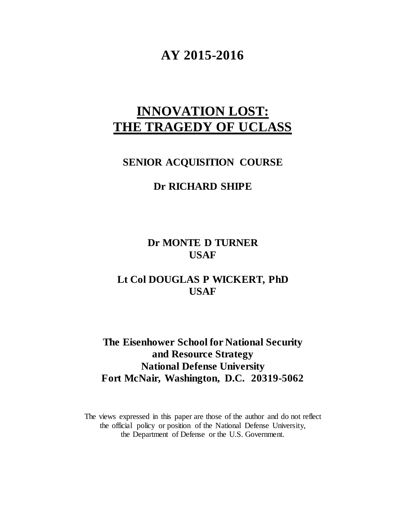## **AY 2015-2016**

# **INNOVATION LOST: THE TRAGEDY OF UCLASS**

### **SENIOR ACQUISITION COURSE**

### **Dr RICHARD SHIPE**

**Dr MONTE D TURNER USAF**

### **Lt Col DOUGLAS P WICKERT, PhD USAF**

**The Eisenhower School for National Security and Resource Strategy National Defense University Fort McNair, Washington, D.C. 20319-5062**

The views expressed in this paper are those of the author and do not reflect the official policy or position of the National Defense University, the Department of Defense or the U.S. Government.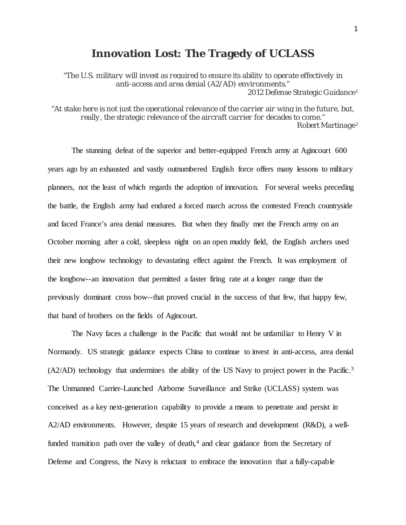### **Innovation Lost: The Tragedy of UCLASS**

*"The U.S. military will invest as required to ensure its ability to operate effectively in anti-access and area denial (A2/AD) environments."* 2012 Defense Strategic Guidance[1](#page-31-0)

*"At stake here is not just the operational relevance of the carrier air wing in the future, but, really, the strategic relevance of the aircraft carrier for decades to come."* Robert Martinage[2](#page-31-1)

The stunning defeat of the superior and better-equipped French army at Agincourt 600 years ago by an exhausted and vastly outnumbered English force offers many lessons to military planners, not the least of which regards the adoption of innovation. For several weeks preceding the battle, the English army had endured a forced march across the contested French countryside and faced France's area denial measures. But when they finally met the French army on an October morning after a cold, sleepless night on an open muddy field, the English archers used their new longbow technology to devastating effect against the French. It was employment of the longbow--an innovation that permitted a faster firing rate at a longer range than the previously dominant cross bow--that proved crucial in the success of that few, that happy few, that band of brothers on the fields of Agincourt.

The Navy faces a challenge in the Pacific that would not be unfamiliar to Henry V in Normandy. US strategic guidance expects China to continue to invest in anti-access, area denial (A2/AD) technology that undermines the ability of the US Navy to project power in the Pacific.<sup>[3](#page-31-2)</sup> The Unmanned Carrier-Launched Airborne Surveillance and Strike (UCLASS) system was conceived as a key next-generation capability to provide a means to penetrate and persist in A2/AD environments. However, despite 15 years of research and development (R&D), a wellfunded transition path over the valley of death, $4$  and clear guidance from the Secretary of Defense and Congress, the Navy is reluctant to embrace the innovation that a fully-capable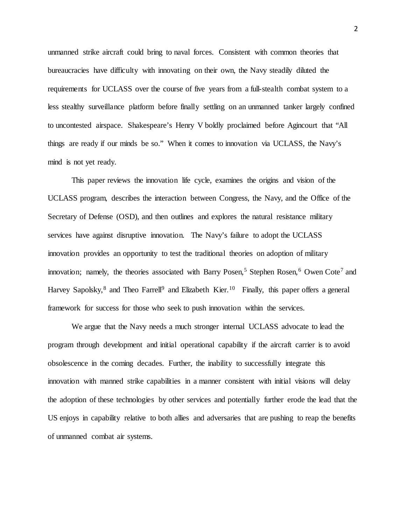unmanned strike aircraft could bring to naval forces. Consistent with common theories that bureaucracies have difficulty with innovating on their own, the Navy steadily diluted the requirements for UCLASS over the course of five years from a full-stealth combat system to a less stealthy surveillance platform before finally settling on an unmanned tanker largely confined to uncontested airspace. Shakespeare's Henry V boldly proclaimed before Agincourt that "All things are ready if our minds be so." When it comes to innovation via UCLASS, the Navy's mind is not yet ready.

This paper reviews the innovation life cycle, examines the origins and vision of the UCLASS program, describes the interaction between Congress, the Navy, and the Office of the Secretary of Defense (OSD), and then outlines and explores the natural resistance military services have against disruptive innovation. The Navy's failure to adopt the UCLASS innovation provides an opportunity to test the traditional theories on adoption of military innovation; namely, the theories associated with Barry Posen,<sup>[5](#page-32-0)</sup> Stephen Rosen,<sup>[6](#page-32-1)</sup> Owen Cote<sup>[7](#page-32-2)</sup> and Harvey Sapolsky,<sup>[8](#page-32-3)</sup> and Theo Farrell<sup>9</sup> and Elizabeth Kier.<sup>[10](#page-32-5)</sup> Finally, this paper offers a general framework for success for those who seek to push innovation within the services.

We argue that the Navy needs a much stronger internal UCLASS advocate to lead the program through development and initial operational capability if the aircraft carrier is to avoid obsolescence in the coming decades. Further, the inability to successfully integrate this innovation with manned strike capabilities in a manner consistent with initial visions will delay the adoption of these technologies by other services and potentially further erode the lead that the US enjoys in capability relative to both allies and adversaries that are pushing to reap the benefits of unmanned combat air systems.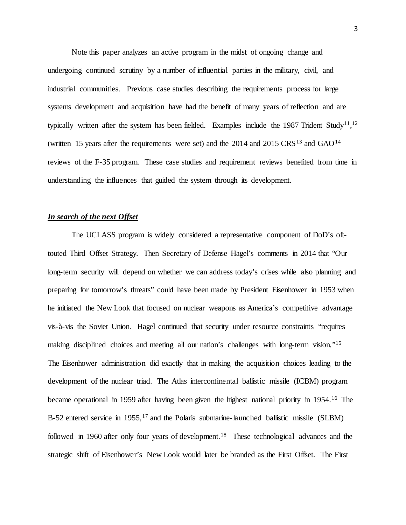Note this paper analyzes an active program in the midst of ongoing change and undergoing continued scrutiny by a number of influential parties in the military, civil, and industrial communities. Previous case studies describing the requirements process for large systems development and acquisition have had the benefit of many years of reflection and are typically written after the system has been fielded. Examples include the 1987 Trident Study<sup>11</sup>,<sup>[12](#page-33-1)</sup> (written 15 years after the requirements were set) and the  $2014$  $2014$  and  $2015 \text{ CR} \text{S}^{13}$  $2015 \text{ CR} \text{S}^{13}$  $2015 \text{ CR} \text{S}^{13}$  and  $\text{GAO}^{14}$ reviews of the F-35 program. These case studies and requirement reviews benefited from time in understanding the influences that guided the system through its development.

#### *In search of the next Offset*

The UCLASS program is widely considered a representative component of DoD's ofttouted Third Offset Strategy. Then Secretary of Defense Hagel's comments in 2014 that "Our long-term security will depend on whether we can address today's crises while also planning and preparing for tomorrow's threats" could have been made by President Eisenhower in 1953 when he initiated the New Look that focused on nuclear weapons as America's competitive advantage vis-à-vis the Soviet Union. Hagel continued that security under resource constraints "requires making disciplined choices and meeting all our nation's challenges with long-term vision."<sup>15</sup> The Eisenhower administration did exactly that in making the acquisition choices leading to the development of the nuclear triad. The Atlas intercontinental ballistic missile (ICBM) program became operational in 1959 after having been given the highest national priority in 1954.<sup>[16](#page-33-5)</sup> The B-52 entered service in 1955,<sup>[17](#page-33-6)</sup> and the Polaris submarine-launched ballistic missile (SLBM) followed in 1960 after only four years of development.<sup>[18](#page-33-7)</sup> These technological advances and the strategic shift of Eisenhower's New Look would later be branded as the First Offset. The First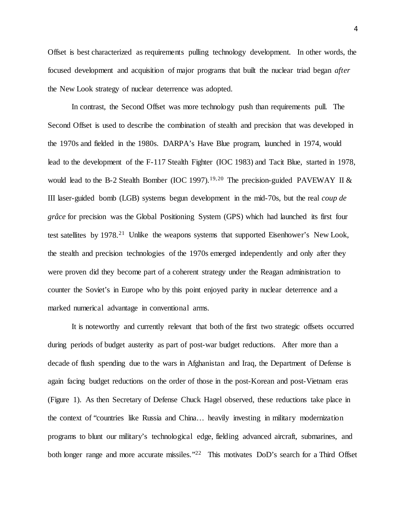Offset is best characterized as requirements pulling technology development. In other words, the focused development and acquisition of major programs that built the nuclear triad began *after* the New Look strategy of nuclear deterrence was adopted.

In contrast, the Second Offset was more technology push than requirements pull. The Second Offset is used to describe the combination of stealth and precision that was developed in the 1970s and fielded in the 1980s. DARPA's Have Blue program, launched in 1974, would lead to the development of the F-117 Stealth Fighter (IOC 1983) and Tacit Blue, started in 1978, would lead to the B-2 Stealth Bomber (IOC [19](#page-34-0)97).<sup>19,[20](#page-34-1)</sup> The precision-guided PAVEWAY II  $\&$ III laser-guided bomb (LGB) systems begun development in the mid-70s, but the real *coup de grâce* for precision was the Global Positioning System (GPS) which had launched its first four test satellites by 1978.<sup>[21](#page-34-2)</sup> Unlike the weapons systems that supported Eisenhower's New Look, the stealth and precision technologies of the 1970s emerged independently and only after they were proven did they become part of a coherent strategy under the Reagan administration to counter the Soviet's in Europe who by this point enjoyed parity in nuclear deterrence and a marked numerical advantage in conventional arms.

It is noteworthy and currently relevant that both of the first two strategic offsets occurred during periods of budget austerity as part of post-war budget reductions. After more than a decade of flush spending due to the wars in Afghanistan and Iraq, the Department of Defense is again facing budget reductions on the order of those in the post-Korean and post-Vietnam eras (Figure 1). As then Secretary of Defense Chuck Hagel observed, these reductions take place in the context of "countries like Russia and China… heavily investing in military modernization programs to blunt our military's technological edge, fielding advanced aircraft, submarines, and both longer range and more accurate missiles."<sup>[22](#page-34-3)</sup> This motivates DoD's search for a Third Offset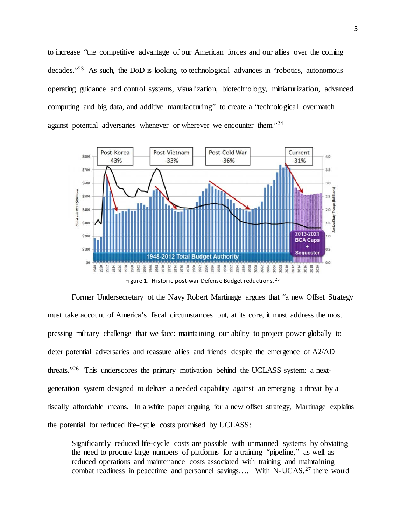to increase "the competitive advantage of our American forces and our allies over the coming decades."[23](#page-34-4) As such, the DoD is looking to technological advances in "robotics, autonomous operating guidance and control systems, visualization, biotechnology, miniaturization, advanced computing and big data, and additive manufacturing" to create a "technological overmatch against potential adversaries whenever or wherever we encounter them.["24](#page-34-5)



Former Undersecretary of the Navy Robert Martinage argues that "a new Offset Strategy must take account of America's fiscal circumstances but, at its core, it must address the most pressing military challenge that we face: maintaining our ability to project power globally to deter potential adversaries and reassure allies and friends despite the emergence of A2/AD threats.["26](#page-34-7) This underscores the primary motivation behind the UCLASS system: a nextgeneration system designed to deliver a needed capability against an emerging a threat by a fiscally affordable means. In a white paper arguing for a new offset strategy, Martinage explains the potential for reduced life-cycle costs promised by UCLASS:

Significantly reduced life-cycle costs are possible with unmanned systems by obviating the need to procure large numbers of platforms for a training "pipeline," as well as reduced operations and maintenance costs associated with training and maintaining combat readiness in peacetime and personnel savings.... With N-UCAS,<sup>[27](#page-34-8)</sup> there would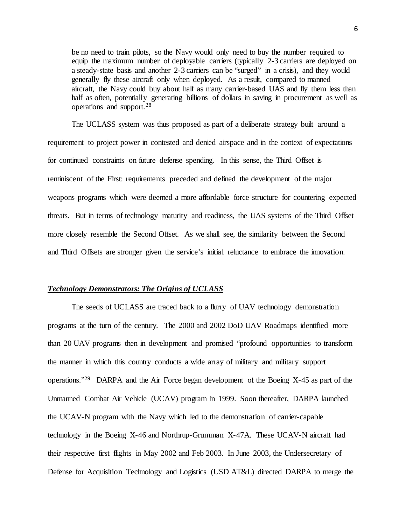be no need to train pilots, so the Navy would only need to buy the number required to equip the maximum number of deployable carriers (typically 2-3 carriers are deployed on a steady-state basis and another 2-3 carriers can be "surged" in a crisis), and they would generally fly these aircraft only when deployed. As a result, compared to manned aircraft, the Navy could buy about half as many carrier-based UAS and fly them less than half as often, potentially generating billions of dollars in saving in procurement as well as operations and support.[28](#page-34-9)

The UCLASS system was thus proposed as part of a deliberate strategy built around a requirement to project power in contested and denied airspace and in the context of expectations for continued constraints on future defense spending. In this sense, the Third Offset is reminiscent of the First: requirements preceded and defined the development of the major weapons programs which were deemed a more affordable force structure for countering expected threats. But in terms of technology maturity and readiness, the UAS systems of the Third Offset more closely resemble the Second Offset. As we shall see, the similarity between the Second and Third Offsets are stronger given the service's initial reluctance to embrace the innovation.

#### *Technology Demonstrators: The Origins of UCLASS*

The seeds of UCLASS are traced back to a flurry of UAV technology demonstration programs at the turn of the century. The 2000 and 2002 DoD UAV Roadmaps identified more than 20 UAV programs then in development and promised "profound opportunities to transform the manner in which this country conducts a wide array of military and military support operations."[29](#page-34-10) DARPA and the Air Force began development of the Boeing X-45 as part of the Unmanned Combat Air Vehicle (UCAV) program in 1999. Soon thereafter, DARPA launched the UCAV-N program with the Navy which led to the demonstration of carrier-capable technology in the Boeing X-46 and Northrup-Grumman X-47A. These UCAV-N aircraft had their respective first flights in May 2002 and Feb 2003. In June 2003, the Undersecretary of Defense for Acquisition Technology and Logistics (USD AT&L) directed DARPA to merge the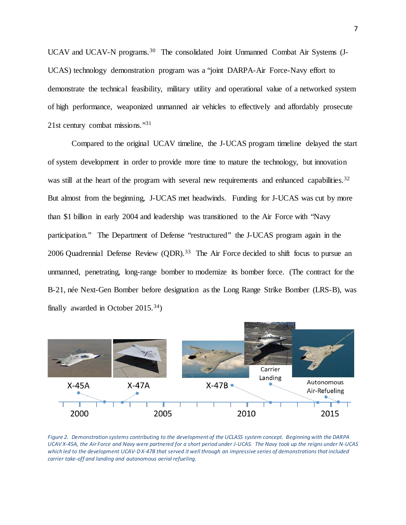UCAV and UCAV-N programs.<sup>30</sup> The consolidated Joint Unmanned Combat Air Systems (J-UCAS) technology demonstration program was a "joint DARPA-Air Force-Navy effort to demonstrate the technical feasibility, military utility and operational value of a networked system of high performance, weaponized unmanned air vehicles to effectively and affordably prosecute 21st century combat missions."[31](#page-34-12)

Compared to the original UCAV timeline, the J-UCAS program timeline delayed the start of system development in order to provide more time to mature the technology, but innovation was still at the heart of the program with several new requirements and enhanced capabilities.<sup>[32](#page-34-13)</sup> But almost from the beginning, J-UCAS met headwinds. Funding for J-UCAS was cut by more than \$1 billion in early 2004 and leadership was transitioned to the Air Force with "Navy participation." The Department of Defense "restructured" the J-UCAS program again in the 2006 Quadrennial Defense Review (QDR).<sup>[33](#page-34-14)</sup> The Air Force decided to shift focus to pursue an unmanned, penetrating, long-range bomber to modernize its bomber force. (The contract for the B-21, née Next-Gen Bomber before designation as the Long Range Strike Bomber (LRS-B), was finally awarded in October  $2015.^{34}$ )



*Figure 2. Demonstration systems contributing to the development of the UCLASS system concept. Beginning with the DARPA UCAV X-45A, the Air Force and Navy were partnered for a short period under J-UCAS. The Navy took up the reigns under N-UCAS which led to the development UCAV-D X-47B that served it well through an impressive series of demonstrations that included carrier take-off and landing and autonomous aerial refueling.*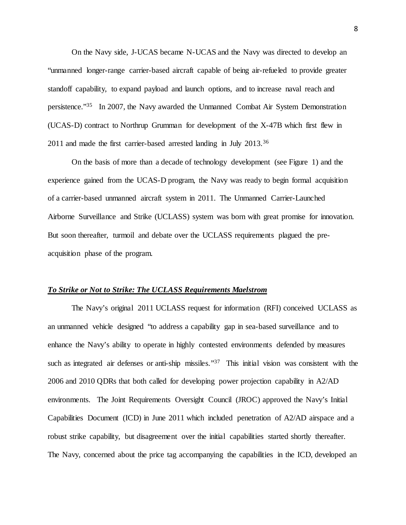On the Navy side, J-UCAS became N-UCAS and the Navy was directed to develop an "unmanned longer-range carrier-based aircraft capable of being air-refueled to provide greater standoff capability, to expand payload and launch options, and to increase naval reach and persistence.["35](#page-34-16) In 2007, the Navy awarded the Unmanned Combat Air System Demonstration (UCAS-D) contract to Northrup Grumman for development of the X-47B which first flew in 2011 and made the first carrier-based arrested landing in July 2013.[36](#page-34-17)

On the basis of more than a decade of technology development (see Figure 1) and the experience gained from the UCAS-D program, the Navy was ready to begin formal acquisition of a carrier-based unmanned aircraft system in 2011. The Unmanned Carrier-Launched Airborne Surveillance and Strike (UCLASS) system was born with great promise for innovation. But soon thereafter, turmoil and debate over the UCLASS requirements plagued the preacquisition phase of the program.

#### *To Strike or Not to Strike: The UCLASS Requirements Maelstrom*

The Navy's original 2011 UCLASS request for information (RFI) conceived UCLASS as an unmanned vehicle designed "to address a capability gap in sea-based surveillance and to enhance the Navy's ability to operate in highly contested environments defended by measures such as integrated air defenses or anti-ship missiles."<sup>37</sup> This initial vision was consistent with the 2006 and 2010 QDRs that both called for developing power projection capability in A2/AD environments. The Joint Requirements Oversight Council (JROC) approved the Navy's Initial Capabilities Document (ICD) in June 2011 which included penetration of A2/AD airspace and a robust strike capability, but disagreement over the initial capabilities started shortly thereafter. The Navy, concerned about the price tag accompanying the capabilities in the ICD, developed an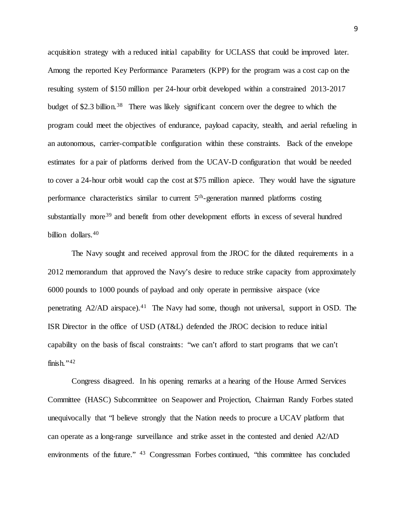acquisition strategy with a reduced initial capability for UCLASS that could be improved later. Among the reported Key Performance Parameters (KPP) for the program was a cost cap on the resulting system of \$150 million per 24-hour orbit developed within a constrained 2013-2017 budget of \$2.3 billion.<sup>[38](#page-34-19)</sup> There was likely significant concern over the degree to which the program could meet the objectives of endurance, payload capacity, stealth, and aerial refueling in an autonomous, carrier-compatible configuration within these constraints. Back of the envelope estimates for a pair of platforms derived from the UCAV-D configuration that would be needed to cover a 24-hour orbit would cap the cost at \$75 million apiece. They would have the signature performance characteristics similar to current 5th-generation manned platforms costing substantially more<sup>[39](#page-34-20)</sup> and benefit from other development efforts in excess of several hundred billion dollars. [40](#page-34-21)

The Navy sought and received approval from the JROC for the diluted requirements in a 2012 memorandum that approved the Navy's desire to reduce strike capacity from approximately 6000 pounds to 1000 pounds of payload and only operate in permissive airspace (vice penetrating A2/AD airspace).<sup>[41](#page-34-22)</sup> The Navy had some, though not universal, support in OSD. The ISR Director in the office of USD (AT&L) defended the JROC decision to reduce initial capability on the basis of fiscal constraints: "we can't afford to start programs that we can't finish." $42$ 

Congress disagreed. In his opening remarks at a hearing of the House Armed Services Committee (HASC) Subcommittee on Seapower and Projection, Chairman Randy Forbes stated unequivocally that "I believe strongly that the Nation needs to procure a UCAV platform that can operate as a long‐range surveillance and strike asset in the contested and denied A2/AD environments of the future." <sup>43</sup> Congressman Forbes continued, "this committee has concluded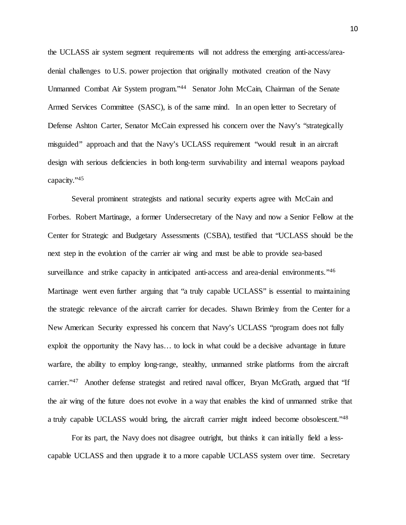the UCLASS air system segment requirements will not address the emerging anti-access/area– denial challenges to U.S. power projection that originally motivated creation of the Navy Unmanned Combat Air System program.["44](#page-34-24) Senator John McCain, Chairman of the Senate Armed Services Committee (SASC), is of the same mind. In an open letter to Secretary of Defense Ashton Carter, Senator McCain expressed his concern over the Navy's "strategically misguided" approach and that the Navy's UCLASS requirement "would result in an aircraft design with serious deficiencies in both long-term survivability and internal weapons payload capacity."[45](#page-34-25)

Several prominent strategists and national security experts agree with McCain and Forbes. Robert Martinage, a former Undersecretary of the Navy and now a Senior Fellow at the Center for Strategic and Budgetary Assessments (CSBA), testified that "UCLASS should be the next step in the evolution of the carrier air wing and must be able to provide sea-based surveillance and strike capacity in anticipated anti-access and area-denial environments.["46](#page-34-2) Martinage went even further arguing that "a truly capable UCLASS" is essential to maintaining the strategic relevance of the aircraft carrier for decades. Shawn Brimley from the Center for a New American Security expressed his concern that Navy's UCLASS "program does not fully exploit the opportunity the Navy has… to lock in what could be a decisive advantage in future warfare, the ability to employ long-range, stealthy, unmanned strike platforms from the aircraft carrier."<sup>[47](#page-34-26)</sup> Another defense strategist and retired naval officer, Bryan McGrath, argued that "If the air wing of the future does not evolve in a way that enables the kind of unmanned strike that a truly capable UCLASS would bring, the aircraft carrier might indeed become obsolescent."[48](#page-34-4)

For its part, the Navy does not disagree outright, but thinks it can initially field a lesscapable UCLASS and then upgrade it to a more capable UCLASS system over time. Secretary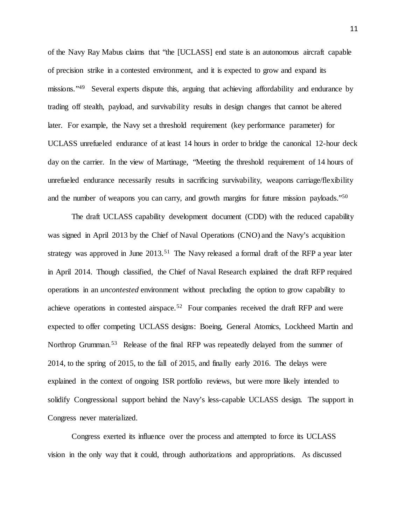of the Navy Ray Mabus claims that "the [UCLASS] end state is an autonomous aircraft capable of precision strike in a contested environment, and it is expected to grow and expand its missions.["49](#page-34-5) Several experts dispute this, arguing that achieving affordability and endurance by trading off stealth, payload, and survivability results in design changes that cannot be altered later. For example, the Navy set a threshold requirement (key performance parameter) for UCLASS unrefueled endurance of at least 14 hours in order to bridge the canonical 12-hour deck day on the carrier. In the view of Martinage, "Meeting the threshold requirement of 14 hours of unrefueled endurance necessarily results in sacrificing survivability, weapons carriage/flexibility and the number of weapons you can carry, and growth margins for future mission payloads.["50](#page-34-27)

The draft UCLASS capability development document (CDD) with the reduced capability was signed in April 2013 by the Chief of Naval Operations (CNO) and the Navy's acquisition strategy was approved in June 2013.<sup>[51](#page-34-28)</sup> The Navy released a formal draft of the RFP a year later in April 2014. Though classified, the Chief of Naval Research explained the draft RFP required operations in an *uncontested* environment without precluding the option to grow capability to achieve operations in contested airspace.[52](#page-34-29) Four companies received the draft RFP and were expected to offer competing UCLASS designs: Boeing, General Atomics, Lockheed Martin and Northrop Grumman.<sup>[53](#page-34-8)</sup> Release of the final RFP was repeatedly delayed from the summer of 2014, to the spring of 2015, to the fall of 2015, and finally early 2016. The delays were explained in the context of ongoing ISR portfolio reviews, but were more likely intended to solidify Congressional support behind the Navy's less-capable UCLASS design. The support in Congress never materialized.

Congress exerted its influence over the process and attempted to force its UCLASS vision in the only way that it could, through authorizations and appropriations. As discussed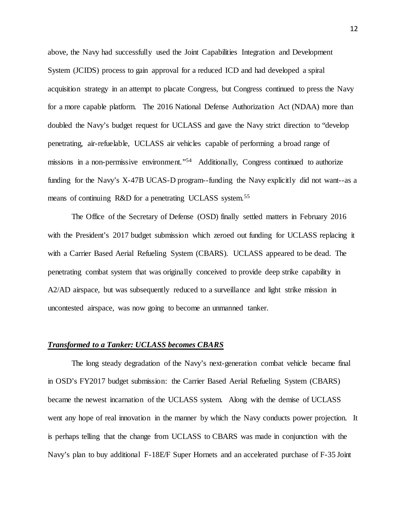above, the Navy had successfully used the Joint Capabilities Integration and Development System (JCIDS) process to gain approval for a reduced ICD and had developed a spiral acquisition strategy in an attempt to placate Congress, but Congress continued to press the Navy for a more capable platform. The 2016 National Defense Authorization Act (NDAA) more than doubled the Navy's budget request for UCLASS and gave the Navy strict direction to "develop penetrating, air-refuelable, UCLASS air vehicles capable of performing a broad range of missions in a non-permissive environment.["54](#page-34-30) Additionally, Congress continued to authorize funding for the Navy's X-47B UCAS-D program--funding the Navy explicitly did not want--as a means of continuing R&D for a penetrating UCLASS system.<sup>[55](#page-34-31)</sup>

The Office of the Secretary of Defense (OSD) finally settled matters in February 2016 with the President's 2017 budget submission which zeroed out funding for UCLASS replacing it with a Carrier Based Aerial Refueling System (CBARS). UCLASS appeared to be dead. The penetrating combat system that was originally conceived to provide deep strike capability in A2/AD airspace, but was subsequently reduced to a surveillance and light strike mission in uncontested airspace, was now going to become an unmanned tanker.

#### *Transformed to a Tanker: UCLASS becomes CBARS*

The long steady degradation of the Navy's next-generation combat vehicle became final in OSD's FY2017 budget submission: the Carrier Based Aerial Refueling System (CBARS) became the newest incarnation of the UCLASS system. Along with the demise of UCLASS went any hope of real innovation in the manner by which the Navy conducts power projection. It is perhaps telling that the change from UCLASS to CBARS was made in conjunction with the Navy's plan to buy additional F-18E/F Super Hornets and an accelerated purchase of F-35 Joint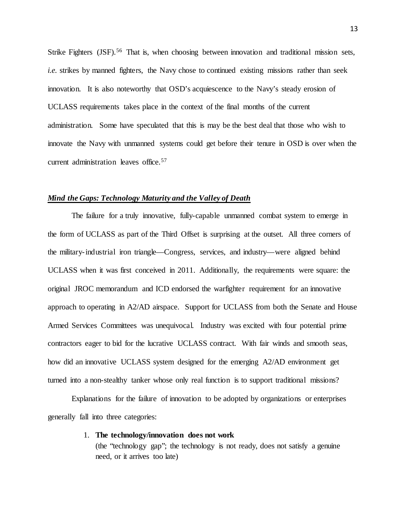Strike Fighters (JSF).<sup>[56](#page-34-32)</sup> That is, when choosing between innovation and traditional mission sets, *i.e.* strikes by manned fighters, the Navy chose to continued existing missions rather than seek innovation. It is also noteworthy that OSD's acquiescence to the Navy's steady erosion of UCLASS requirements takes place in the context of the final months of the current administration. Some have speculated that this is may be the best deal that those who wish to innovate the Navy with unmanned systems could get before their tenure in OSD is over when the current administration leaves office. [57](#page-34-13)

#### *Mind the Gaps: Technology Maturity and the Valley of Death*

The failure for a truly innovative, fully-capable unmanned combat system to emerge in the form of UCLASS as part of the Third Offset is surprising at the outset. All three corners of the military-industrial iron triangle—Congress, services, and industry—were aligned behind UCLASS when it was first conceived in 2011. Additionally, the requirements were square: the original JROC memorandum and ICD endorsed the warfighter requirement for an innovative approach to operating in A2/AD airspace. Support for UCLASS from both the Senate and House Armed Services Committees was unequivocal. Industry was excited with four potential prime contractors eager to bid for the lucrative UCLASS contract. With fair winds and smooth seas, how did an innovative UCLASS system designed for the emerging A2/AD environment get turned into a non-stealthy tanker whose only real function is to support traditional missions?

Explanations for the failure of innovation to be adopted by organizations or enterprises generally fall into three categories:

1. **The technology/innovation does not work**

(the "technology gap"; the technology is not ready, does not satisfy a genuine need, or it arrives too late)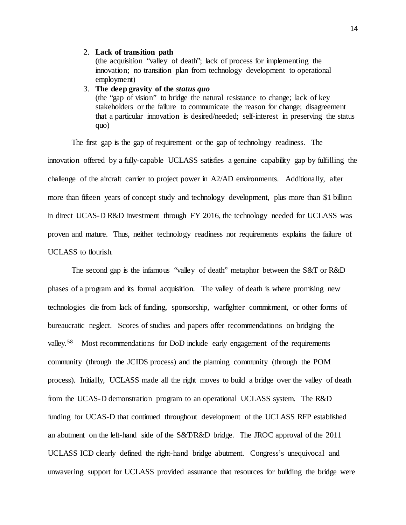#### 2. **Lack of transition path**

(the acquisition "valley of death"; lack of process for implementing the innovation; no transition plan from technology development to operational employment)

#### 3. **The deep gravity of the** *status quo*

(the "gap of vision" to bridge the natural resistance to change; lack of key stakeholders or the failure to communicate the reason for change; disagreement that a particular innovation is desired/needed; self-interest in preserving the status quo)

The first gap is the gap of requirement or the gap of technology readiness. The innovation offered by a fully-capable UCLASS satisfies a genuine capability gap by fulfilling the challenge of the aircraft carrier to project power in A2/AD environments. Additionally, after more than fifteen years of concept study and technology development, plus more than \$1 billion in direct UCAS-D R&D investment through FY 2016, the technology needed for UCLASS was proven and mature. Thus, neither technology readiness nor requirements explains the failure of UCLASS to flourish.

The second gap is the infamous "valley of death" metaphor between the S&T or R&D phases of a program and its formal acquisition. The valley of death is where promising new technologies die from lack of funding, sponsorship, warfighter commitment, or other forms of bureaucratic neglect. Scores of studies and papers offer recommendations on bridging the valley.<sup>[58](#page-34-33)</sup> Most recommendations for DoD include early engagement of the requirements community (through the JCIDS process) and the planning community (through the POM process). Initially, UCLASS made all the right moves to build a bridge over the valley of death from the UCAS-D demonstration program to an operational UCLASS system. The R&D funding for UCAS-D that continued throughout development of the UCLASS RFP established an abutment on the left-hand side of the S&T/R&D bridge. The JROC approval of the 2011 UCLASS ICD clearly defined the right-hand bridge abutment. Congress's unequivocal and unwavering support for UCLASS provided assurance that resources for building the bridge were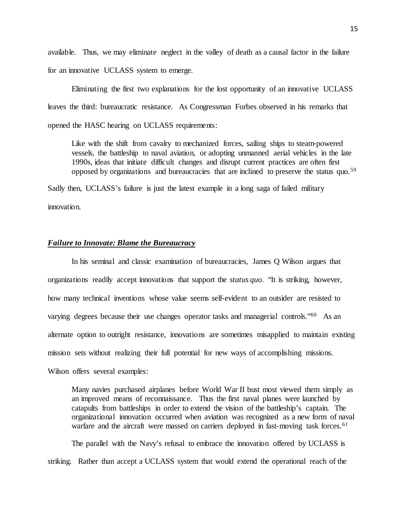available. Thus, we may eliminate neglect in the valley of death as a causal factor in the failure for an innovative UCLASS system to emerge.

Eliminating the first two explanations for the lost opportunity of an innovative UCLASS leaves the third: bureaucratic resistance. As Congressman Forbes observed in his remarks that opened the HASC hearing on UCLASS requirements:

Like with the shift from cavalry to mechanized forces, sailing ships to steam-powered vessels, the battleship to naval aviation, or adopting unmanned aerial vehicles in the late 1990s, ideas that initiate difficult changes and disrupt current practices are often first opposed by organizations and bureaucracies that are inclined to preserve the status quo.[59](#page-34-34)

Sadly then, UCLASS's failure is just the latest example in a long saga of failed military

innovation.

#### *Failure to Innovate: Blame the Bureaucracy*

In his seminal and classic examination of bureaucracies, James Q Wilson argues that organizations readily accept innovations that support the *status quo*. "It is striking, however, how many technical inventions whose value seems self-evident to an outsider are resisted to varying degrees because their use changes operator tasks and managerial controls."[60](#page-34-35) As an alternate option to outright resistance, innovations are sometimes misapplied to maintain existing mission sets without realizing their full potential for new ways of accomplishing missions. Wilson offers several examples:

Many navies purchased airplanes before World War II bust most viewed them simply as an improved means of reconnaissance. Thus the first naval planes were launched by catapults from battleships in order to extend the vision of the battleship's captain. The organizational innovation occurred when aviation was recognized as a new form of naval warfare and the aircraft were massed on carriers deployed in fast-moving task forces.<sup>[61](#page-34-36)</sup>

The parallel with the Navy's refusal to embrace the innovation offered by UCLASS is striking. Rather than accept a UCLASS system that would extend the operational reach of the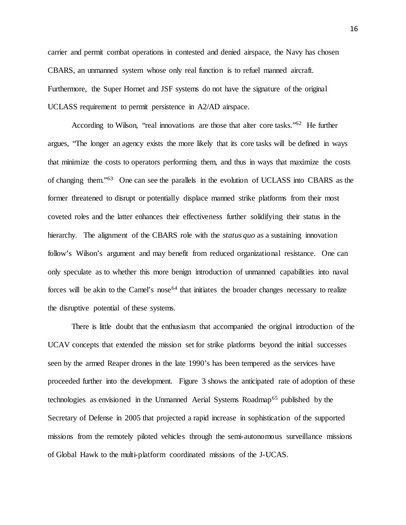carrier and permit combat operations in contested and denied airspace, the Navy has chosen CBARS, an unmanned system whose only real function is to refuel manned aircraft. Furthermore, the Super Hornet and JSF systems do not have the signature of the original UCLASS requirement to permit persistence in A2/AD airspace.

According to Wilson, "real innovations are those that alter core tasks."<sup>62</sup> He further argues, "The longer an agency exists the more likely that its core tasks will be defined in ways that minimize the costs to operators performing them, and thus in ways that maximize the costs of changing them.["63](#page-34-38) One can see the parallels in the evolution of UCLASS into CBARS as the former threatened to disrupt or potentially displace manned strike platforms from their most coveted roles and the latter enhances their effectiveness further solidifying their status in the hierarchy. The alignment of the CBARS role with the *status quo* as a sustaining innovation follow's Wilson's argument and may benefit from reduced organizational resistance. One can only speculate as to whether this more benign introduction of unmanned capabilities into naval forces will be akin to the Camel's nose<sup> $64$ </sup> that initiates the broader changes necessary to realize the disruptive potential of these systems.

There is little doubt that the enthusiasm that accompanied the original introduction of the UCAV concepts that extended the mission set for strike platforms beyond the initial successes seen by the armed Reaper drones in the late 1990's has been tempered as the services have proceeded further into the development. Figure 3 shows the anticipated rate of adoption of these technologies as envisioned in the Unmanned Aerial Systems Roadmap<sup>[65](#page-34-40)</sup> published by the Secretary of Defense in 2005 that projected a rapid increase in sophistication of the supported missions from the remotely piloted vehicles through the semi-autonomous surveillance missions of Global Hawk to the multi-platform coordinated missions of the J-UCAS.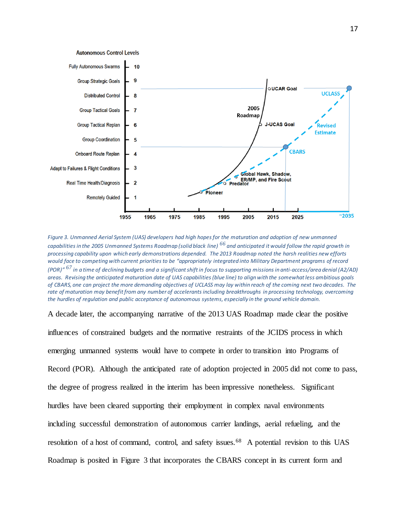

*Figure 3. Unmanned Aerial System (UAS) developers had high hopes for the maturation and adoption of new unmanned capabilities in the 2005 Unmanned Systems Roadmap (solid black line) [66](#page-34-41) and anticipated it would follow the rapid growth in processing capability upon which early demonstrations depended. The 2013 Roadmap noted the harsh realities new efforts would face to competing with current priorities to be "appropriately integrated into Military Department programs of record (POR)" [67](#page-34-42) in a time of declining budgets and a significant shift in focus to supporting missions in anti-access/area denial (A2/AD) areas. Revising the anticipated maturation date of UAS capabilities (blue line) to align with the somewhat less ambitious goals of CBARS, one can project the more demanding objectives of UCLASS may lay within reach of the coming next two decades. The*  rate of maturation may benefit from any number of accelerants including breakthroughs in processing technology, overcoming *the hurdles of regulation and public acceptance of autonomous systems, especially in the ground vehicle domain.*

A decade later, the accompanying narrative of the 2013 UAS Roadmap made clear the positive influences of constrained budgets and the normative restraints of the JCIDS process in which emerging unmanned systems would have to compete in order to transition into Programs of Record (POR). Although the anticipated rate of adoption projected in 2005 did not come to pass, the degree of progress realized in the interim has been impressive nonetheless. Significant hurdles have been cleared supporting their employment in complex naval environments including successful demonstration of autonomous carrier landings, aerial refueling, and the resolution of a host of command, control, and safety issues.<sup>[68](#page-34-43)</sup> A potential revision to this UAS Roadmap is posited in Figure 3 that incorporates the CBARS concept in its current form and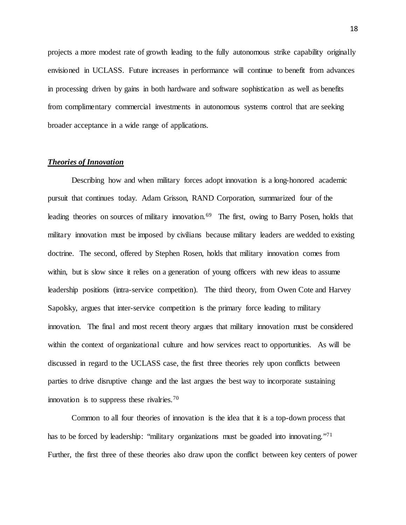projects a more modest rate of growth leading to the fully autonomous strike capability originally envisioned in UCLASS. Future increases in performance will continue to benefit from advances in processing driven by gains in both hardware and software sophistication as well as benefits from complimentary commercial investments in autonomous systems control that are seeking broader acceptance in a wide range of applications.

#### *Theories of Innovation*

Describing how and when military forces adopt innovation is a long-honored academic pursuit that continues today. Adam Grisson, RAND Corporation, summarized four of the leading theories on sources of military innovation.<sup>[69](#page-34-44)</sup> The first, owing to Barry Posen, holds that military innovation must be imposed by civilians because military leaders are wedded to existing doctrine. The second, offered by Stephen Rosen, holds that military innovation comes from within, but is slow since it relies on a generation of young officers with new ideas to assume leadership positions (intra-service competition). The third theory, from Owen Cote and Harvey Sapolsky, argues that inter-service competition is the primary force leading to military innovation. The final and most recent theory argues that military innovation must be considered within the context of organizational culture and how services react to opportunities. As will be discussed in regard to the UCLASS case, the first three theories rely upon conflicts between parties to drive disruptive change and the last argues the best way to incorporate sustaining innovation is to suppress these rivalries.[70](#page-34-45)

Common to all four theories of innovation is the idea that it is a top-down process that has to be forced by leadership: "military organizations must be goaded into innovating."<sup>[71](#page-34-46)</sup> Further, the first three of these theories also draw upon the conflict between key centers of power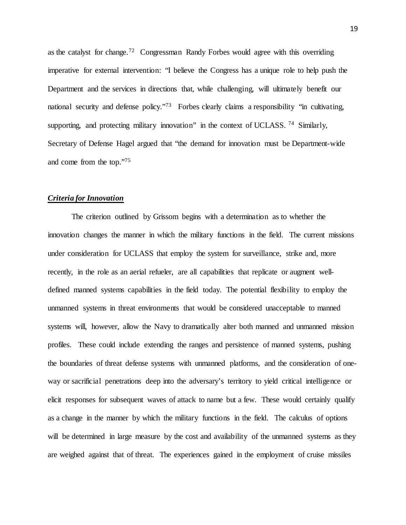as the catalyst for change.[72](#page-34-47) Congressman Randy Forbes would agree with this overriding imperative for external intervention: "I believe the Congress has a unique role to help push the Department and the services in directions that, while challenging, will ultimately benefit our national security and defense policy."<sup>73</sup> Forbes clearly claims a responsibility "in cultivating, supporting, and protecting military innovation" in the context of UCLASS.<sup>[74](#page-34-49)</sup> Similarly, Secretary of Defense Hagel argued that "the demand for innovation must be Department-wide and come from the top.["75](#page-34-50)

#### *Criteria for Innovation*

The criterion outlined by Grissom begins with a determination as to whether the innovation changes the manner in which the military functions in the field. The current missions under consideration for UCLASS that employ the system for surveillance, strike and, more recently, in the role as an aerial refueler, are all capabilities that replicate or augment welldefined manned systems capabilities in the field today. The potential flexibility to employ the unmanned systems in threat environments that would be considered unacceptable to manned systems will, however, allow the Navy to dramatically alter both manned and unmanned mission profiles. These could include extending the ranges and persistence of manned systems, pushing the boundaries of threat defense systems with unmanned platforms, and the consideration of oneway or sacrificial penetrations deep into the adversary's territory to yield critical intelligence or elicit responses for subsequent waves of attack to name but a few. These would certainly qualify as a change in the manner by which the military functions in the field. The calculus of options will be determined in large measure by the cost and availability of the unmanned systems as they are weighed against that of threat. The experiences gained in the employment of cruise missiles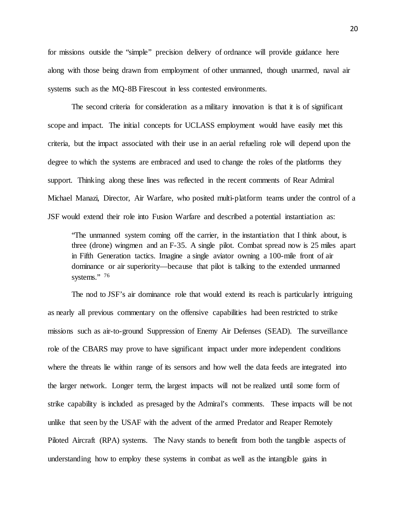for missions outside the "simple" precision delivery of ordnance will provide guidance here along with those being drawn from employment of other unmanned, though unarmed, naval air systems such as the MQ-8B Firescout in less contested environments.

The second criteria for consideration as a military innovation is that it is of significant scope and impact. The initial concepts for UCLASS employment would have easily met this criteria, but the impact associated with their use in an aerial refueling role will depend upon the degree to which the systems are embraced and used to change the roles of the platforms they support. Thinking along these lines was reflected in the recent comments of Rear Admiral Michael Manazi, Director, Air Warfare, who posited multi-platform teams under the control of a JSF would extend their role into Fusion Warfare and described a potential instantiation as:

"The unmanned system coming off the carrier, in the instantiation that I think about, is three (drone) wingmen and an F-35. A single pilot. Combat spread now is 25 miles apart in Fifth Generation tactics. Imagine a single aviator owning a 100-mile front of air dominance or air superiority—because that pilot is talking to the extended unmanned systems." [76](#page-34-51)

The nod to JSF's air dominance role that would extend its reach is particularly intriguing as nearly all previous commentary on the offensive capabilities had been restricted to strike missions such as air-to-ground Suppression of Enemy Air Defenses (SEAD). The surveillance role of the CBARS may prove to have significant impact under more independent conditions where the threats lie within range of its sensors and how well the data feeds are integrated into the larger network. Longer term, the largest impacts will not be realized until some form of strike capability is included as presaged by the Admiral's comments. These impacts will be not unlike that seen by the USAF with the advent of the armed Predator and Reaper Remotely Piloted Aircraft (RPA) systems. The Navy stands to benefit from both the tangible aspects of understanding how to employ these systems in combat as well as the intangible gains in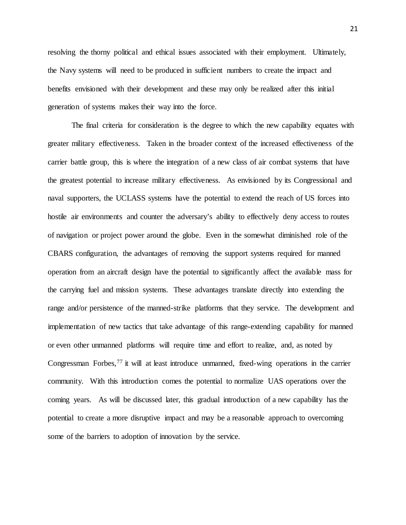resolving the thorny political and ethical issues associated with their employment. Ultimately, the Navy systems will need to be produced in sufficient numbers to create the impact and benefits envisioned with their development and these may only be realized after this initial generation of systems makes their way into the force.

The final criteria for consideration is the degree to which the new capability equates with greater military effectiveness. Taken in the broader context of the increased effectiveness of the carrier battle group, this is where the integration of a new class of air combat systems that have the greatest potential to increase military effectiveness. As envisioned by its Congressional and naval supporters, the UCLASS systems have the potential to extend the reach of US forces into hostile air environments and counter the adversary's ability to effectively deny access to routes of navigation or project power around the globe. Even in the somewhat diminished role of the CBARS configuration, the advantages of removing the support systems required for manned operation from an aircraft design have the potential to significantly affect the available mass for the carrying fuel and mission systems. These advantages translate directly into extending the range and/or persistence of the manned-strike platforms that they service. The development and implementation of new tactics that take advantage of this range-extending capability for manned or even other unmanned platforms will require time and effort to realize, and, as noted by Congressman Forbes,<sup>[77](#page-34-52)</sup> it will at least introduce unmanned, fixed-wing operations in the carrier community. With this introduction comes the potential to normalize UAS operations over the coming years. As will be discussed later, this gradual introduction of a new capability has the potential to create a more disruptive impact and may be a reasonable approach to overcoming some of the barriers to adoption of innovation by the service.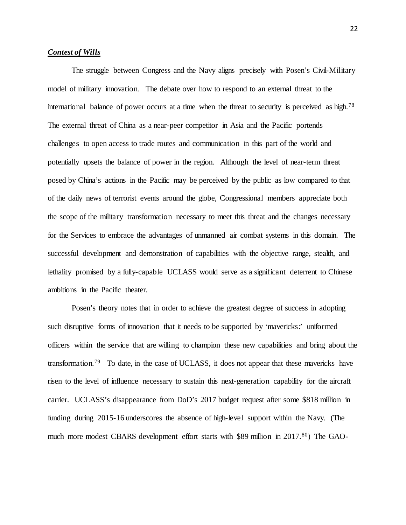#### *Contest of Wills*

The struggle between Congress and the Navy aligns precisely with Posen's Civil-Military model of military innovation. The debate over how to respond to an external threat to the international balance of power occurs at a time when the threat to security is perceived as high.<sup>[78](#page-34-53)</sup> The external threat of China as a near-peer competitor in Asia and the Pacific portends challenges to open access to trade routes and communication in this part of the world and potentially upsets the balance of power in the region. Although the level of near-term threat posed by China's actions in the Pacific may be perceived by the public as low compared to that of the daily news of terrorist events around the globe, Congressional members appreciate both the scope of the military transformation necessary to meet this threat and the changes necessary for the Services to embrace the advantages of unmanned air combat systems in this domain. The successful development and demonstration of capabilities with the objective range, stealth, and lethality promised by a fully-capable UCLASS would serve as a significant deterrent to Chinese ambitions in the Pacific theater.

Posen's theory notes that in order to achieve the greatest degree of success in adopting such disruptive forms of innovation that it needs to be supported by 'mavericks:' uniformed officers within the service that are willing to champion these new capabilities and bring about the transformation.<sup>[79](#page-34-2)</sup> To date, in the case of UCLASS, it does not appear that these mavericks have risen to the level of influence necessary to sustain this next-generation capability for the aircraft carrier. UCLASS's disappearance from DoD's 2017 budget request after some \$818 million in funding during 2015-16 underscores the absence of high-level support within the Navy. (The much more modest CBARS development effort starts with \$89 million in 2017.<sup>[80](#page-34-26)</sup>) The GAO-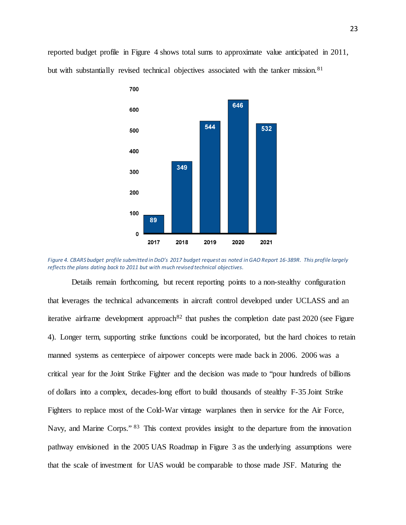reported budget profile in Figure 4 shows total sums to approximate value anticipated in 2011, but with substantially revised technical objectives associated with the tanker mission.<sup>[81](#page-34-4)</sup>



*Figure 4. CBARS budget profile submitted in DoD's 2017 budget request as noted in GAO Report 16-389R. This profile largely reflects the plans dating back to 2011 but with much revised technical objectives.*

Details remain forthcoming, but recent reporting points to a non-stealthy configuration that leverages the technical advancements in aircraft control developed under UCLASS and an iterative airframe development approach<sup>82</sup> that pushes the completion date past  $2020$  (see Figure 4). Longer term, supporting strike functions could be incorporated, but the hard choices to retain manned systems as centerpiece of airpower concepts were made back in 2006. 2006 was a critical year for the Joint Strike Fighter and the decision was made to "pour hundreds of billions of dollars into a complex, decades-long effort to build thousands of stealthy F-35 Joint Strike Fighters to replace most of the Cold-War vintage warplanes then in service for the Air Force, Navy, and Marine Corps." [83](#page-34-6) This context provides insight to the departure from the innovation pathway envisioned in the 2005 UAS Roadmap in Figure 3 as the underlying assumptions were that the scale of investment for UAS would be comparable to those made JSF. Maturing the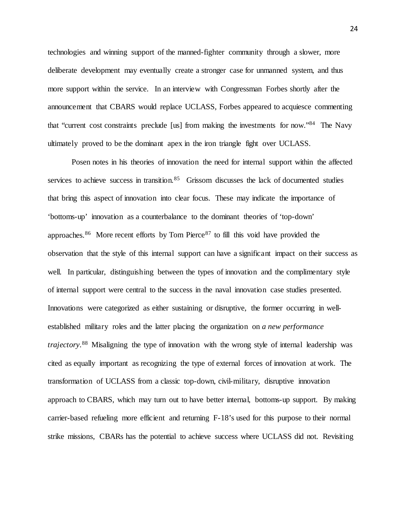technologies and winning support of the manned-fighter community through a slower, more deliberate development may eventually create a stronger case for unmanned system, and thus more support within the service. In an interview with Congressman Forbes shortly after the announcement that CBARS would replace UCLASS, Forbes appeared to acquiesce commenting that "current cost constraints preclude [us] from making the investments for now.["84](#page-34-27) The Navy ultimately proved to be the dominant apex in the iron triangle fight over UCLASS.

Posen notes in his theories of innovation the need for internal support within the affected services to achieve success in transition.<sup>[85](#page-34-28)</sup> Grissom discusses the lack of documented studies that bring this aspect of innovation into clear focus. These may indicate the importance of 'bottoms-up' innovation as a counterbalance to the dominant theories of 'top-down' approaches.<sup>[86](#page-34-7)</sup> More recent efforts by Tom Pierce<sup>[87](#page-34-29)</sup> to fill this void have provided the observation that the style of this internal support can have a significant impact on their success as well. In particular, distinguishing between the types of innovation and the complimentary style of internal support were central to the success in the naval innovation case studies presented. Innovations were categorized as either sustaining or disruptive, the former occurring in wellestablished military roles and the latter placing the organization on *a new performance trajectory*. [88](#page-34-8) Misaligning the type of innovation with the wrong style of internal leadership was cited as equally important as recognizing the type of external forces of innovation at work. The transformation of UCLASS from a classic top-down, civil-military, disruptive innovation approach to CBARS, which may turn out to have better internal, bottoms-up support. By making carrier-based refueling more efficient and returning F-18's used for this purpose to their normal strike missions, CBARs has the potential to achieve success where UCLASS did not. Revisiting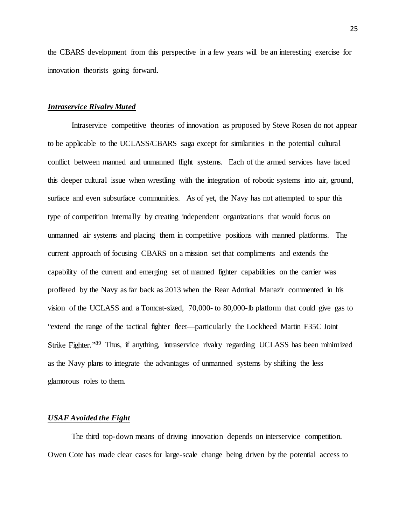the CBARS development from this perspective in a few years will be an interesting exercise for innovation theorists going forward.

#### *Intraservice Rivalry Muted*

Intraservice competitive theories of innovation as proposed by Steve Rosen do not appear to be applicable to the UCLASS/CBARS saga except for similarities in the potential cultural conflict between manned and unmanned flight systems. Each of the armed services have faced this deeper cultural issue when wrestling with the integration of robotic systems into air, ground, surface and even subsurface communities. As of yet, the Navy has not attempted to spur this type of competition internally by creating independent organizations that would focus on unmanned air systems and placing them in competitive positions with manned platforms. The current approach of focusing CBARS on a mission set that compliments and extends the capability of the current and emerging set of manned fighter capabilities on the carrier was proffered by the Navy as far back as 2013 when the Rear Admiral Manazir commented in his vision of the UCLASS and a Tomcat-sized, 70,000- to 80,000-lb platform that could give gas to "extend the range of the tactical fighter fleet—particularly the Lockheed Martin F35C Joint Strike Fighter.["89](#page-34-30) Thus, if anything, intraservice rivalry regarding UCLASS has been minimized as the Navy plans to integrate the advantages of unmanned systems by shifting the less glamorous roles to them.

#### *USAF Avoided the Fight*

The third top-down means of driving innovation depends on interservice competition. Owen Cote has made clear cases for large-scale change being driven by the potential access to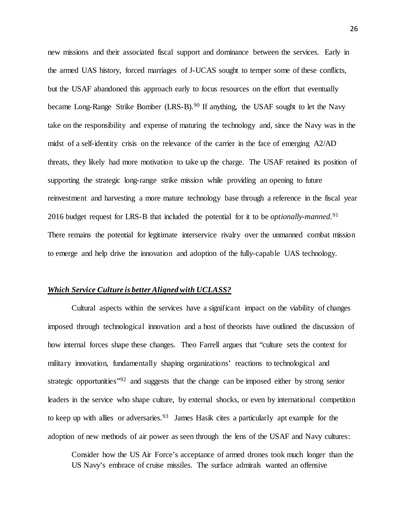new missions and their associated fiscal support and dominance between the services. Early in the armed UAS history, forced marriages of J-UCAS sought to temper some of these conflicts, but the USAF abandoned this approach early to focus resources on the effort that eventually became Long-Range Strike Bomber (LRS-B).<sup>[90](#page-34-10)</sup> If anything, the USAF sought to let the Navy take on the responsibility and expense of maturing the technology and, since the Navy was in the midst of a self-identity crisis on the relevance of the carrier in the face of emerging A2/AD threats, they likely had more motivation to take up the charge. The USAF retained its position of supporting the strategic long-range strike mission while providing an opening to future reinvestment and harvesting a more mature technology base through a reference in the fiscal year 2016 budget request for LRS-B that included the potential for it to be *optionally-manned.* [91](#page-34-11) There remains the potential for legitimate interservice rivalry over the unmanned combat mission to emerge and help drive the innovation and adoption of the fully-capable UAS technology.

#### *Which Service Culture is better Aligned with UCLASS?*

Cultural aspects within the services have a significant impact on the viability of changes imposed through technological innovation and a host of theorists have outlined the discussion of how internal forces shape these changes. Theo Farrell argues that "culture sets the context for military innovation, fundamentally shaping organizations' reactions to technological and strategic opportunities<sup>"[92](#page-34-13)</sup> and suggests that the change can be imposed either by strong senior leaders in the service who shape culture, by external shocks, or even by international competition to keep up with allies or adversaries.<sup>[93](#page-34-33)</sup> James Hasik cites a particularly apt example for the adoption of new methods of air power as seen through the lens of the USAF and Navy cultures:

Consider how the US Air Force's acceptance of armed drones took much longer than the US Navy's embrace of cruise missiles. The surface admirals wanted an offensive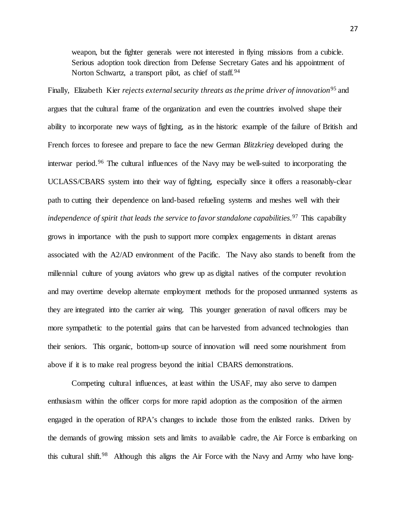weapon, but the fighter generals were not interested in flying missions from a cubicle. Serious adoption took direction from Defense Secretary Gates and his appointment of Norton Schwartz, a transport pilot, as chief of staff.<sup>[94](#page-34-54)</sup>

Finally, Elizabeth Kier *rejects external security threats as the prime driver of innovation*<sup>[95](#page-34-34)</sup> and argues that the cultural frame of the organization and even the countries involved shape their ability to incorporate new ways of fighting, as in the historic example of the failure of British and French forces to foresee and prepare to face the new German *Blitzkrieg* developed during the interwar period. [96](#page-34-55) The cultural influences of the Navy may be well-suited to incorporating the UCLASS/CBARS system into their way of fighting, especially since it offers a reasonably-clear path to cutting their dependence on land-based refueling systems and meshes well with their *independence of spirit that leads the service to favor standalone capabilities*. [97](#page-34-35) This capability grows in importance with the push to support more complex engagements in distant arenas associated with the A2/AD environment of the Pacific. The Navy also stands to benefit from the millennial culture of young aviators who grew up as digital natives of the computer revolution and may overtime develop alternate employment methods for the proposed unmanned systems as they are integrated into the carrier air wing. This younger generation of naval officers may be more sympathetic to the potential gains that can be harvested from advanced technologies than their seniors. This organic, bottom-up source of innovation will need some nourishment from above if it is to make real progress beyond the initial CBARS demonstrations.

Competing cultural influences, at least within the USAF, may also serve to dampen enthusiasm within the officer corps for more rapid adoption as the composition of the airmen engaged in the operation of RPA's changes to include those from the enlisted ranks. Driven by the demands of growing mission sets and limits to available cadre, the Air Force is embarking on this cultural shift.<sup>98</sup> Although this aligns the Air Force with the Navy and Army who have long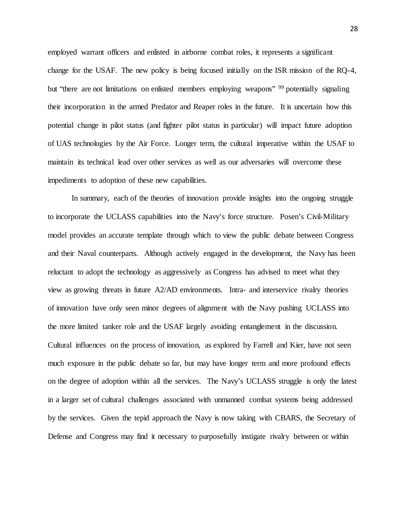employed warrant officers and enlisted in airborne combat roles, it represents a significant change for the USAF. The new policy is being focused initially on the ISR mission of the RQ-4, but "there are not limitations on enlisted members employing weapons" <sup>[99](#page-34-56)</sup> potentially signaling their incorporation in the armed Predator and Reaper roles in the future. It is uncertain how this potential change in pilot status (and fighter pilot status in particular) will impact future adoption of UAS technologies by the Air Force. Longer term, the cultural imperative within the USAF to maintain its technical lead over other services as well as our adversaries will overcome these impediments to adoption of these new capabilities.

In summary, each of the theories of innovation provide insights into the ongoing struggle to incorporate the UCLASS capabilities into the Navy's force structure. Posen's Civil-Military model provides an accurate template through which to view the public debate between Congress and their Naval counterparts. Although actively engaged in the development, the Navy has been reluctant to adopt the technology as aggressively as Congress has advised to meet what they view as growing threats in future A2/AD environments. Intra- and interservice rivalry theories of innovation have only seen minor degrees of alignment with the Navy pushing UCLASS into the more limited tanker role and the USAF largely avoiding entanglement in the discussion. Cultural influences on the process of innovation, as explored by Farrell and Kier, have not seen much exposure in the public debate so far, but may have longer term and more profound effects on the degree of adoption within all the services. The Navy's UCLASS struggle is only the latest in a larger set of cultural challenges associated with unmanned combat systems being addressed by the services. Given the tepid approach the Navy is now taking with CBARS, the Secretary of Defense and Congress may find it necessary to purposefully instigate rivalry between or within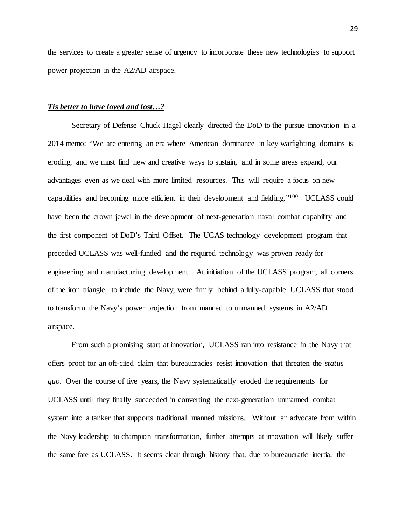the services to create a greater sense of urgency to incorporate these new technologies to support power projection in the A2/AD airspace.

#### *Tis better to have loved and lost…?*

Secretary of Defense Chuck Hagel clearly directed the DoD to the pursue innovation in a 2014 memo: "We are entering an era where American dominance in key warfighting domains is eroding, and we must find new and creative ways to sustain, and in some areas expand, our advantages even as we deal with more limited resources. This will require a focus on new capabilities and becoming more efficient in their development and fielding.["100](#page-34-19) UCLASS could have been the crown jewel in the development of next-generation naval combat capability and the first component of DoD's Third Offset. The UCAS technology development program that preceded UCLASS was well-funded and the required technology was proven ready for engineering and manufacturing development. At initiation of the UCLASS program, all corners of the iron triangle, to include the Navy, were firmly behind a fully-capable UCLASS that stood to transform the Navy's power projection from manned to unmanned systems in A2/AD airspace.

From such a promising start at innovation, UCLASS ran into resistance in the Navy that offers proof for an oft-cited claim that bureaucracies resist innovation that threaten the *status quo*. Over the course of five years, the Navy systematically eroded the requirements for UCLASS until they finally succeeded in converting the next-generation unmanned combat system into a tanker that supports traditional manned missions. Without an advocate from within the Navy leadership to champion transformation, further attempts at innovation will likely suffer the same fate as UCLASS. It seems clear through history that, due to bureaucratic inertia, the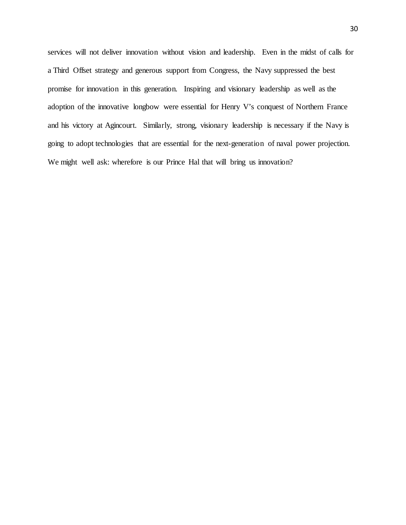services will not deliver innovation without vision and leadership. Even in the midst of calls for a Third Offset strategy and generous support from Congress, the Navy suppressed the best promise for innovation in this generation. Inspiring and visionary leadership as well as the adoption of the innovative longbow were essential for Henry V's conquest of Northern France and his victory at Agincourt. Similarly, strong, visionary leadership is necessary if the Navy is going to adopt technologies that are essential for the next-generation of naval power projection. We might well ask: wherefore is our Prince Hal that will bring us innovation?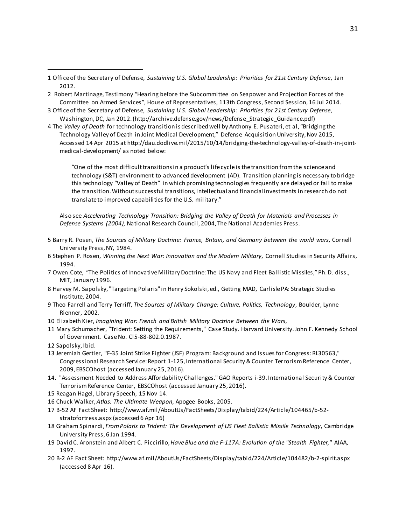- <span id="page-31-1"></span>2 Robert Martinage, Testimony "Hearing before the Subcommittee on Seapower and Projection Forces of the Committee on Armed Services", House of Representatives, 113th Congress, Second Session, 16 Jul 2014.
- <span id="page-31-2"></span>3 Office of the Secretary of Defense, *Sustaining U.S. Global Leadership: Priorities for 21st Century Defense*, Washington, DC, Jan 2012. (http://archive.defense.gov/news/Defense\_Strategic\_Guidance.pdf)
- <span id="page-31-3"></span>4 The *Valley of Death* for technology transition is described well by Anthony E. Pusateri, et al, "Bridging the Technology Valley of Death in Joint Medical Development," Defense Acquisition University, Nov 2015, Accessed 14 Apr 2015 at http://dau.dodlive.mil/2015/10/14/bridging-the-technology-valley-of-death-in-jointmedical-development/ as noted below:

"One of the most difficult transitions in a product's life cycle is the transition from the science and technology (S&T) environment to advanced development (AD). Transition planning is necessary to bridge this technology "Valley of Death" in which promising technologies frequently are delayed or fail to make the transition. Without successful transitions, intellectual and financial investments in research do not translate to improved capabilities for the U.S. military."

Also see *Accelerating Technology Transition: Bridging the Valley of Death for Materials and Processes in Defense Systems (2004),* National Research Council, 2004, The National Academies Press.

- 5 Barry R. Posen, *The Sources of Military Doctrine: France, Britain, and Germany between the world wars*, Cornell University Press, NY, 1984.
- 6 Stephen P. Rosen, *Winning the Next War: Innovation and the Modern Military*, Cornell Studies in Security Affairs, 1994.
- 7 Owen Cote, "The Politics of Innovative Military Doctrine: The US Navy and Fleet Ballistic Missiles,"Ph. D. diss., MIT, January 1996.
- 8 Harvey M. Sapolsky, "Targeting Polaris" in Henry Sokolski, ed., Getting MAD, Carlisle PA: Strategic Studies Institute, 2004.
- 9 Theo Farrell and Terry Terriff, *The Sources of Military Change: Culture, Politics, Technology*, Boulder, Lynne Rienner, 2002.
- 10 Elizabeth Kier, *Imagining War: French and British Military Doctrine Between the Wars*,
- 11 Mary Schumacher, "Trident: Setting the Requirements," Case Study. Harvard University. John F. Kennedy School of Government. Case No. Cl5-88-802.0.1987.
- 12 Sapolsky, Ibid.

 $\overline{a}$ 

- 13 Jeremiah Gertler, "F-35 Joint Strike Fighter (JSF) Program: Background and Issues for Congress: RL30563," Congressional Research Service: Report 1-125, International Security & Counter Terrorism Reference Center, 2009, EBSCOhost (accessed January 25, 2016).
- 14. "Assessment Needed to Address Affordability Challenges." GAO Reports i-39. International Security & Counter Terrorism Reference Center, EBSCOhost (accessed January 25, 2016).
- 15 Reagan Hagel, Library Speech, 15 Nov 14.
- 16 Chuck Walker, *Atlas: The Ultimate Weapon,* Apogee Books, 2005.
- 17 B-52 AF Fact Sheet: http://www.af.mil/AboutUs/FactSheets/Display/tabid/224/Article/104465/b-52 stratofortress.aspx (accessed 6 Apr 16)
- 18 Graham Spinardi, *From Polaris to Trident: The Development of US Fleet Ballistic Missile Technology*, Cambridge University Press, 6 Jan 1994.
- 19 David C. Aronstein and Albert C. Piccirillo, *Have Blue and the F-117A: Evolution of the "Stealth Fighter,"* AIAA, 1997.
- 20 B-2 AF Fact Sheet: http://www.af.mil/AboutUs/FactSheets/Display/tabid/224/Article/104482/b-2-spirit.aspx (accessed 8 Apr 16).

<span id="page-31-0"></span><sup>1</sup> Office of the Secretary of Defense, *Sustaining U.S. Global Leadership: Priorities for 21st Century Defense*, Jan 2012.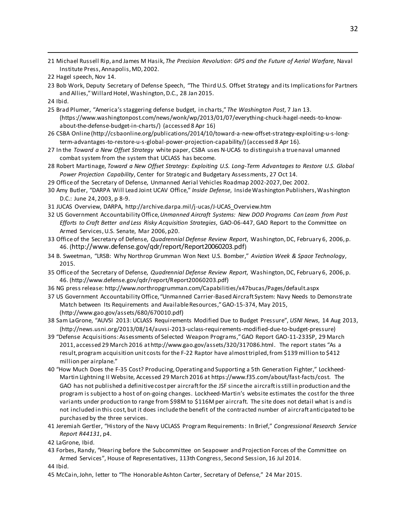21 Michael Russell Rip, and James M Hasik, *The Precision Revolution*: *GPS and the Future of Aerial Warfare*, Naval Institute Press, Annapolis, MD, 2002.

23 Bob Work, Deputy Secretary of Defense Speech, "The Third U.S. Offset Strategy and its Implications for Partners and Allies," Willard Hotel, Washington, D.C., 28 Jan 2015.

24 Ibid.

 $\overline{a}$ 

- 25 Brad Plumer, "America's staggering defense budget, in charts," *The Washington Post*, 7 Jan 13. (https://www.washingtonpost.com/news/wonk/wp/2013/01/07/everything-chuck-hagel-needs-to-knowabout-the-defense-budget-in-charts/) (accessed 8 Apr 16)
- 26 CSBA Online (http://csbaonline.org/publications/2014/10/toward-a-new-offset-strategy-exploiting-u-s-longterm-advantages-to-restore-u-s-global-power-projection-capability/) (accessed 8 Apr 16).
- 27 In the *Toward a New Offset Strategy* white paper, CSBA uses N-UCAS to distinguish a true naval umanned combat system from the system that UCLASS has become.
- 28 Robert Martinage, *Toward a New Offset Strategy: Exploiting U.S. Long-Term Advantages to Restore U.S. Global Power Projection Capability*, Center for Strategic and Budgetary Assessments, 27 Oct 14.
- 29 Office of the Secretary of Defense, Unmanned Aerial Vehicles Roadmap 2002-2027, Dec 2002.
- 30 Amy Butler, "DARPA Will Lead Joint UCAV Office," *Inside Defense*, Inside Washington Publishers, Washington D.C.: June 24, 2003, p 8-9.
- 31 JUCAS Overview, DARPA, http://archive.darpa.mil/j-ucas/J-UCAS\_Overview.htm
- 32 US Government Accountability Office,*Unmanned Aircraft Systems: New DOD Programs Can Learn from Past Efforts to Craft Better and Less Risky Acquisition Strategies*, GAO-06-447, GAO Report to the Committee on Armed Services, U.S. Senate, Mar 2006, p20.
- <span id="page-32-0"></span>33 Office of the Secretary of Defense, *Quadrennial Defense Review Report*, Washington, DC, February 6, 2006, p. 46. (http://www.defense.gov/qdr/report/Report20060203.pdf)
- <span id="page-32-1"></span>34 B. Sweetman, "LRSB: Why Northrop Grumman Won Next U.S. Bomber," *Aviation Week & Space Technology*, 2015.
- <span id="page-32-2"></span>35 Office of the Secretary of Defense, *Quadrennial Defense Review Report*, Washington, DC, February 6, 2006, p. 46. (http://www.defense.gov/qdr/report/Report20060203.pdf)
- <span id="page-32-3"></span>36 NG press release: http://www.northropgrumman.com/Capabilities/x47bucas/Pages/default.aspx
- <span id="page-32-4"></span>37 US Government Accountability Office, "Unmanned Carrier-Based Aircraft System: Navy Needs to Demonstrate Match between Its Requirements and Available Resources," GAO-15-374, May 2015, (http://www.gao.gov/assets/680/670010.pdf)
- <span id="page-32-5"></span>38 Sam LaGrone, "AUVSI 2013: UCLASS Requirements Modified Due to Budget Pressure", *USNI News*, 14 Aug 2013, (http://news.usni.org/2013/08/14/auvsi-2013-uclass-requirements-modified-due-to-budget-pressure)
- 39 "Defense Acquisitions: Assessments of Selected Weapon Programs," GAO Report GAO-11-233SP, 29 March 2011, accessed 29 March 2016 at http://www.gao.gov/assets/320/317086.html. The report states "As a result, program acquisition unit costs for the F-22 Raptor have almost tripled, from \$139 million to \$412 million per airplane."
- 40 "How Much Does the F-35 Cost? Producing, Operating and Supporting a 5th Generation Fighter," Lockheed-Martin Lightning II Website, Accessed 29 March 2016 at https://www.f35.com/about/fast-facts/cost. The GAO has not published a definitive cost per aircraft for the JSF since the aircraft is still in production and the program is subject to a host of on-going changes. Lockheed-Martin's website estimates the cost for the three variants under production to range from \$98M to \$116M per aircraft. The site does not detail what is and is not included in this cost, but it does include the benefit of the contracted number of aircraft anticipated to be purchased by the three services.
- 41 Jeremiah Gertler, "History of the Navy UCLASS Program Requirements: In Brief," *Congressional Research Service Report R44131*, p4.
- 42 LaGrone, Ibid.
- 43 Forbes, Randy, "Hearing before the Subcommittee on Seapower and Projection Forces of the Committee on Armed Services", House of Representatives, 113th Congress, Second Session, 16 Jul 2014.

44 Ibid.

45 McCain, John, letter to "The Honorable Ashton Carter, Secretary of Defense," 24 Mar 2015.

<sup>22</sup> Hagel speech, Nov 14.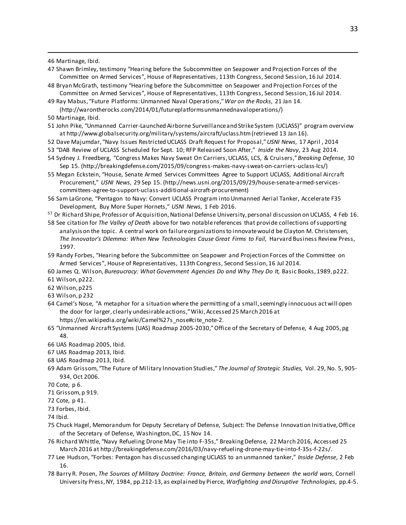46 Martinage, Ibid.

 $\overline{a}$ 

- 47 Shawn Brimley, testimony "Hearing before the Subcommittee on Seapower and Projection Forces of the Committee on Armed Services", House of Representatives, 113th Congress, Second Session, 16 Jul 2014.
- 48 Bryan McGrath, testimony "Hearing before the Subcommittee on Seapower and Projection Forces of the Committee on Armed Services", House of Representatives, 113th Congress, Second Session, 16 Jul 2014.
- 49 Ray Mabus, "Future Platforms: Unmanned Naval Operations," *War on the Rocks*, 21 Jan 14. (http://warontherocks.com/2014/01/futureplatformsunmannednavaloperations/)
- 50 Martinage, Ibid.
- 51 John Pike, "Unmanned Carrier-Launched Airborne Surveillance and Strike System (UCLASS)" program overview at http://www.globalsecurity.org/military/systems/aircraft/uclass.htm (retrieved 13 Jan 16).
- 52 Dave Majumdar, "Navy Issues Restricted UCLASS Draft Request for Proposal," *USNI News*, 17 April , 2014
- 53 "DAB Review of UCLASS Scheduled for Sept. 10; RFP Released Soon After," *Inside the Navy*, 23 Aug 2014.
- 54 Sydney J. Freedberg, "Congress Makes Navy Sweat On Carriers, UCLASS, LCS, & Cruisers," *Breaking Defense*, 30 Sep 15. (http://breakingdefense.com/2015/09/congress-makes-navy-sweat-on-carriers-uclass-lcs/)
- 55 Megan Eckstein, "House, Senate Armed Services Committees Agree to Support UCLASS, Additional Aircraft Procurement," *USNI News*, 29 Sep 15. (http://news.usni.org/2015/09/29/house-senate-armed-servicescommittees-agree-to-support-uclass-additional-aircraft-procurement)
- 56 Sam LaGrone, "Pentagon to Navy: Convert UCLASS Program into Unmanned Aerial Tanker, Accelerate F35 Development, Buy More Super Hornets," *USNI News*, 1 Feb 2016.
- <sup>57</sup> Dr Richard Shipe, Professor of Acquisition, National Defense University, personal discussion on UCLASS, 4 Feb 16.
- 58 See citation for *The Valley of Death* above for two notable references that provide collections of supporting analysis on the topic. A central work on failure organizations to innovate would be Clayton M. Christensen*, The Innovator's Dilemma: When New Technologies Cause Great Firms to Fail*, Harvard Business Review Press, 1997.
- 59 Randy Forbes, "Hearing before the Subcommittee on Seapower and Projection Forces of the Committee on Armed Services", House of Representatives, 113th Congress, Second Session, 16 Jul 2014.
- 60 James Q. Wilson, *Bureaucracy: What Government Agencies Do and Why They Do It,* Basic Books, 1989, p222.
- 61 Wilson, p222.
- 62 Wilson, p225
- 63 Wilson, p 232
- 64 Camel's Nose, "A metaphor for a situation where the permitting of a small, seemingly innocuous act will open the door for larger, clearly undesirable actions," Wiki, Accessed 25 March 2016 at https://en.wikipedia.org/wiki/Camel%27s\_nose#cite\_note-2.
- <span id="page-33-0"></span>65 "Unmanned Aircraft Systems (UAS) Roadmap 2005-2030," Office of the Secretary of Defense, 4 Aug 2005, pg 48.
- <span id="page-33-1"></span>66 UAS Roadmap 2005, Ibid.
- <span id="page-33-2"></span>67 UAS Roadmap 2013, Ibid.
- 68 UAS Roadmap 2013, Ibid.
- 69 Adam Grissom, "The Future of Military Innovation Studies," *The Journal of Strategic Studies,* Vol. 29, No. 5, 905- 934, Oct 2006.
- <span id="page-33-3"></span>70 Cote, p 6.
- <span id="page-33-4"></span>71 Grissom, p 919.
- <span id="page-33-5"></span>72 Cote, p 41.
- <span id="page-33-6"></span>73 Forbes, Ibid.
- 74 Ibid.
- <span id="page-33-7"></span>75 Chuck Hagel, Memorandum for Deputy Secretary of Defense, Subject: The Defense Innovation Initiative, Office of the Secretary of Defense, Washington, DC, 15 Nov 14.
- 76 Richard Whittle, "Navy Refueling Drone May Tie into F-35s," Breaking Defense, 22 March 2016, Accessed 25 March 2016 at http://breakingdefense.com/2016/03/navy-refueling-drone-may-tie-into-f-35s-f-22s/.
- 77 Lee Hudson, "Forbes: Pentagon has discussed changing UCLASS to an unmanned tanker," *Inside Defense*, 2 Feb 16.
- 78 Barry R. Posen, *The Sources of Military Doctrine: France, Britain, and Germany between the world wars*, Cornell University Press, NY, 1984, pp.212-13, as explained by Pierce, *Warfighting and Disruptive Technologies*, pp.4-5.